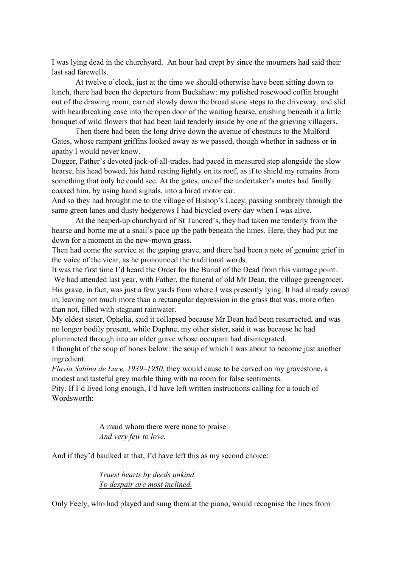I was lying dead in the churchyard. An hour had crept by since the mourners had said their last sad farewells.

At twelve o'clock, just at the time we should otherwise have been sitting down to lunch, there had been the departure from Buckshaw: my polished rosewood coffin brought out of the drawing room, carried slowly down the broad stone steps to the driveway, and slid with heartbreaking ease into the open door of the waiting hearse, crushing beneath it a little bouquet of wild flowers that had been laid tenderly inside by one of the grieving villagers.

Then there had been the long drive down the avenue of chestnuts to the Mulford Gates, whose rampant griffins looked away as we passed, though whether in sadness or in apathy I would never know.

Dogger, Father's devoted jack-of-all-trades, had paced in measured step alongside the slow hearse, his head bowed, his hand resting lightly on its roof, as if to shield my remains from something that only he could see. At the gates, one of the undertaker's mutes had finally coaxed him, by using hand signals, into a hired motor car.

And so they had brought me to the village of Bishop's Lacey, passing sombrely through the same green lanes and dusty hedgerows I had bicycled every day when I was alive.

At the heaped-up churchyard of St Tancred's, they had taken me tenderly from the hearse and borne me at a snail's pace up the path beneath the limes. Here, they had put me down for a moment in the new-mown grass.

Then had come the service at the gaping grave, and there had been a note of genuine grief in the voice of the vicar, as he pronounced the traditional words.

It was the first time I'd heard the Order for the Burial of the Dead from this vantage point. We had attended last year, with Father, the funeral of old Mr Dean, the village greengrocer.

His grave, in fact, was just a few yards from where I was presently lying. It had already caved in, leaving not much more than a rectangular depression in the grass that was, more often than not, filled with stagnant rainwater.

My oldest sister, Ophelia, said it collapsed because Mr Dean had been resurrected, and was no longer bodily present, while Daphne, my other sister, said it was because he had plummeted through into an older grave whose occupant had disintegrated.

I thought of the soup of bones below: the soup of which I was about to become just another ingredient.

*Flavia Sabina de Luce, 1939–1950*, they would cause to be carved on my gravestone, a modest and tasteful grey marble thing with no room for false sentiments.

Pity. If I'd lived long enough, I'd have left written instructions calling for a touch of Wordsworth:

> A maid whom there were none to praise *And very few to love.*

And if they'd baulked at that, I'd have left this as my second choice:

*Truest hearts by deeds unkind To despair are most inclined.*

Only Feely, who had played and sung them at the piano, would recognise the lines from